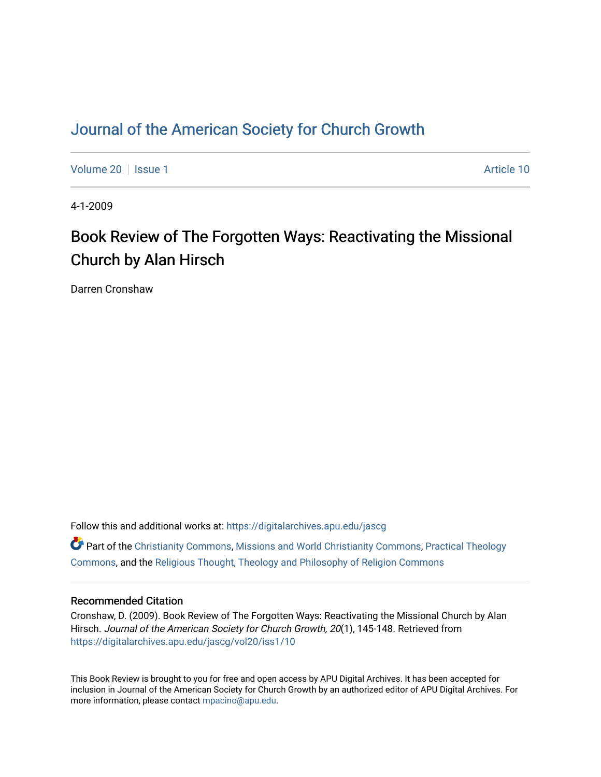# [Journal of the American Society for Church Growth](https://digitalarchives.apu.edu/jascg)

[Volume 20](https://digitalarchives.apu.edu/jascg/vol20) | [Issue 1](https://digitalarchives.apu.edu/jascg/vol20/iss1) Article 10

4-1-2009

# Book Review of The Forgotten Ways: Reactivating the Missional Church by Alan Hirsch

Darren Cronshaw

Follow this and additional works at: [https://digitalarchives.apu.edu/jascg](https://digitalarchives.apu.edu/jascg?utm_source=digitalarchives.apu.edu%2Fjascg%2Fvol20%2Fiss1%2F10&utm_medium=PDF&utm_campaign=PDFCoverPages) 

 $\bullet$  Part of the [Christianity Commons,](http://network.bepress.com/hgg/discipline/1181?utm_source=digitalarchives.apu.edu%2Fjascg%2Fvol20%2Fiss1%2F10&utm_medium=PDF&utm_campaign=PDFCoverPages) [Missions and World Christianity Commons](http://network.bepress.com/hgg/discipline/1187?utm_source=digitalarchives.apu.edu%2Fjascg%2Fvol20%2Fiss1%2F10&utm_medium=PDF&utm_campaign=PDFCoverPages), Practical Theology [Commons](http://network.bepress.com/hgg/discipline/1186?utm_source=digitalarchives.apu.edu%2Fjascg%2Fvol20%2Fiss1%2F10&utm_medium=PDF&utm_campaign=PDFCoverPages), and the [Religious Thought, Theology and Philosophy of Religion Commons](http://network.bepress.com/hgg/discipline/544?utm_source=digitalarchives.apu.edu%2Fjascg%2Fvol20%2Fiss1%2F10&utm_medium=PDF&utm_campaign=PDFCoverPages) 

### Recommended Citation

Cronshaw, D. (2009). Book Review of The Forgotten Ways: Reactivating the Missional Church by Alan Hirsch. Journal of the American Society for Church Growth, 20(1), 145-148. Retrieved from [https://digitalarchives.apu.edu/jascg/vol20/iss1/10](https://digitalarchives.apu.edu/jascg/vol20/iss1/10?utm_source=digitalarchives.apu.edu%2Fjascg%2Fvol20%2Fiss1%2F10&utm_medium=PDF&utm_campaign=PDFCoverPages) 

This Book Review is brought to you for free and open access by APU Digital Archives. It has been accepted for inclusion in Journal of the American Society for Church Growth by an authorized editor of APU Digital Archives. For more information, please contact [mpacino@apu.edu](mailto:mpacino@apu.edu).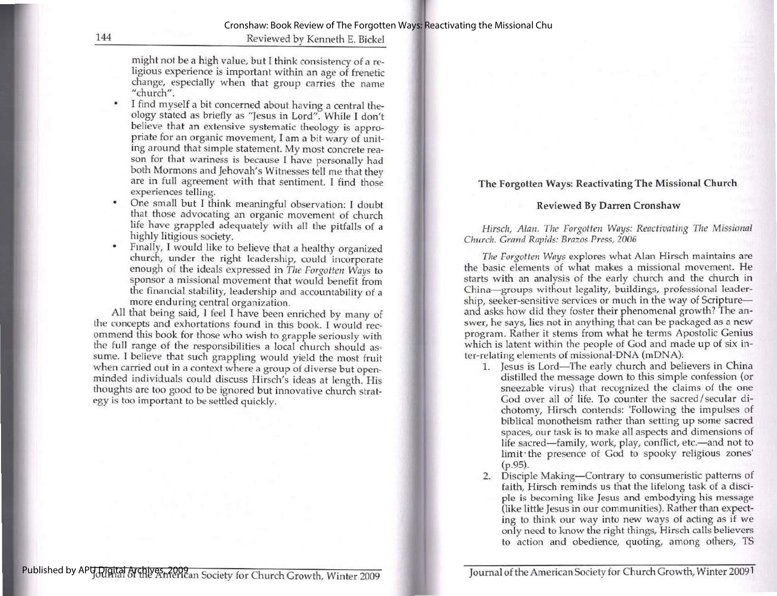144 Reviewed by Kenneth E. Bickel

might not be a high value, but I think consistency of a re- ligious experience is important within an age of frenetic change, especially when that group carries the name "church".

- I find myself a bit concerned about having a central the-<br>ology stated as briefly as "Jesus in Lord". While I don't<br>believe that an extensive systematic theology is appro-<br>priate for an organic movement, I am a bit wary
- One small but I think meaningful observation: I doubt
- 

• One small but I think meaningful observation: I doubt<br>that those advocating an organic movement of church<br>life have grappled adequately with all the pitfalls of a<br>highly litigious society.<br>Finally, I would like to believ

#### The Forgotten Ways: Reactivating The Missional Church

#### Reviewed By Darren Cronshaw

Hirsch, Alan. The Forgotten Ways: Reactivating The Missional Church. Grand Rapids: Brazos Press, 2006

The Forgotten Ways explores what Alan Hirsch maintains are the basic elements of what makes a missional movement. He starts with an analysis of the early church and the church in China—groups without legality, buildings, professional leadership, seeker-sensitive services or much in the way of Scripture and asks how did they foster their phenomenal growth? The an-<br>swer, he says, lies not in anything that can be packaged as a new program. Rather it stems from what he terms Apostolic Genius which is latent within the people of God and made up of six inwhich is latent within the people of God and made up of six inter-relating elements of missional-DNA (mDNA):

- 1. Jesus is Lord—The early church and believers in China distilled the message down to this simple confession (or sneezable virus) that recognized the claims of the one God over all of life. To counter the sacred/secular dichotomy, Hirsch contends: 'Following the impulses of biblical monotheism rather than setting up some sacred spaces, our task is to make all aspects and dimensions of life sacred—family, work, play, conflict, etc—and not to limit the presence of God to spooky religious zones<br>(p.95).
- 2. Disciple Making—Contrary to consumeristic patterns of faith. Hirsch reminds us that the lifelong task of a discifaith, Hirsch reminds us that the lifelong task of a disci-<br>ple is becoming like Jesus and embodying his message (like little Jesus in our communities). Rather than expecting to think our way into new ways of acting as if we only need to know the right things, Hirsch calls believers to action and obedience, quoting, among others, TS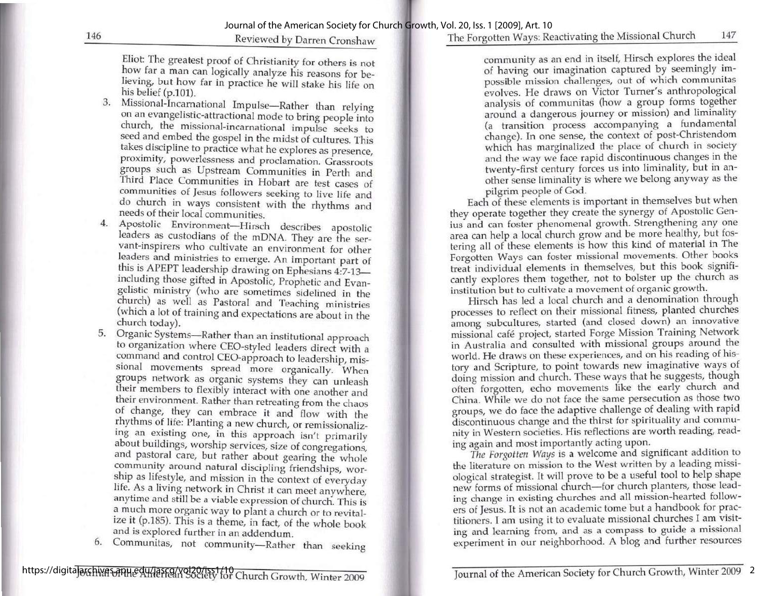## The Forgotten Ways: Reactivating the Missional Church 147

146 Reviewed by Darren Cronshaw

Eliot: The greatest proof of Christianity for others is not how far a man can logically analyze his reasons for be-<br>lieving, but how far in practice he will stake his life on his belief  $(p.101)$ .

- 3. Missional-Incarnational Impulse—Rather than relying<br>on an evangelistic-attractional mode to bring people into<br>church, the missional-incarnational impulse seeks to<br>seed and embed the gospel in the midst of cultures. This
- 
- 5. Organic Systems—Rather than an institutional approach to organization where CEO-styled leaders direct with a command and control CEO-approach to leadership, missional movements spread more organically. When groups netw
- 6. Communitas, not community—Rather than seeking

community as an end in itself, Hirsch explores the ideal of having our imagination captured by seemingly impossible mission challenges, out of which communitas evolves. He draws on Victor Turner's anthropological analysis of communitas (how a group forms together around a dangerous journey or mission) and liminality (a transition process accompanying a fundamental change). In one sense, the context of post-Christendom which has marginalized the place of church in society and the way we face rapid discontinuous changes in the twenty-first century forces us into liminality, but in an- other sense liminality is where we belong anyway as the other sense liminality is where we belong anyway as the pilgrim people of God.

Each of these elements is important in themselves but when they operate together they create the synergy of Apostolic Genius and can foster phenomenal growth. Strengthening any one area can help a local church grow and be more healthy, but fostering all of these elements is how this kind of material in The Forgotten Ways can foster missional movements. Other books treat individual elements in themselves, but this book significantly explores them together, not to bolster up the church as

institution but to cultivate a movement of organic growth. Hirsch has led a local church and a denomination through processes to reflect on their missional fitness, planted churches among, subcultures, started (and closed down) an innovative missional café project, started Forge Mission Training Network in Australia and consulted with missional groups around the world. He draws on these experiences, and on his reading of hisworld. He draws on these experiences, and on his reading of history and Scripture, to point towards new imaginative ways of doing mission and church. These ways that he suggests, though often forgotten, echo movements like nity in Western societies. His reflections are worth reading, reading again and most importantly acting upon.

again and most importantly acting applies.<br>The Forgotten Ways is a welcome and significant addition to the literature on mission to the West written by a leading missi-<br>ological strategist. It will prove to be a useful tool to help shape new forms of missional church—for church planters, those leading change in existing churches and all mission-hearted followers of Jesus. It is not an academic tome but a handbook for prac- titioners. I am using it to evaluate missional churches I am visiting and learning from, and as a compass to guide a missional experiment in our neighborhood. A blog and further resources